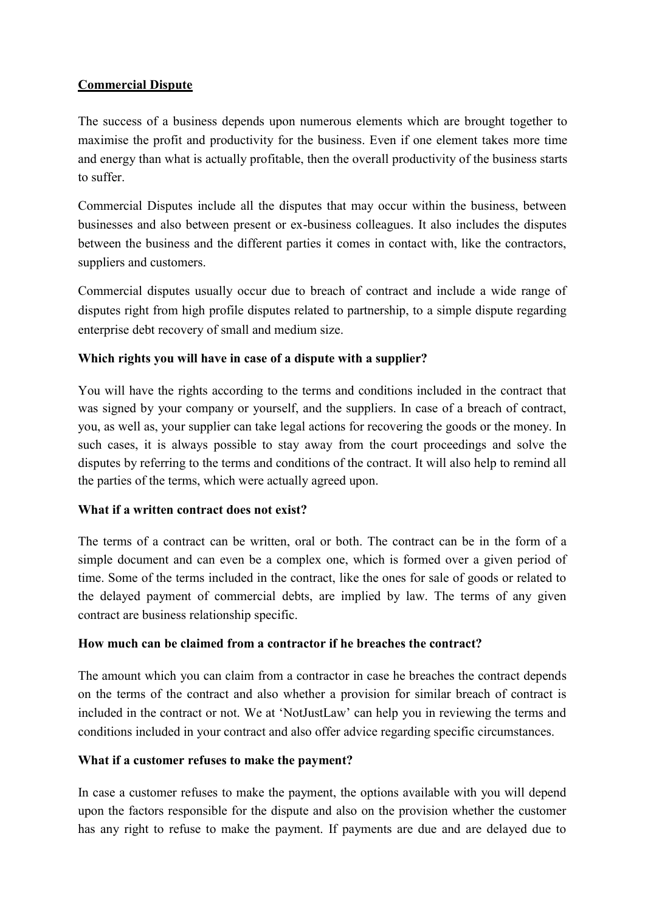# **Commercial Dispute**

The success of a business depends upon numerous elements which are brought together to maximise the profit and productivity for the business. Even if one element takes more time and energy than what is actually profitable, then the overall productivity of the business starts to suffer.

Commercial Disputes include all the disputes that may occur within the business, between businesses and also between present or ex-business colleagues. It also includes the disputes between the business and the different parties it comes in contact with, like the contractors, suppliers and customers.

Commercial disputes usually occur due to breach of contract and include a wide range of disputes right from high profile disputes related to partnership, to a simple dispute regarding enterprise debt recovery of small and medium size.

## **Which rights you will have in case of a dispute with a supplier?**

You will have the rights according to the terms and conditions included in the contract that was signed by your company or yourself, and the suppliers. In case of a breach of contract, you, as well as, your supplier can take legal actions for recovering the goods or the money. In such cases, it is always possible to stay away from the court proceedings and solve the disputes by referring to the terms and conditions of the contract. It will also help to remind all the parties of the terms, which were actually agreed upon.

## **What if a written contract does not exist?**

The terms of a contract can be written, oral or both. The contract can be in the form of a simple document and can even be a complex one, which is formed over a given period of time. Some of the terms included in the contract, like the ones for sale of goods or related to the delayed payment of commercial debts, are implied by law. The terms of any given contract are business relationship specific.

## **How much can be claimed from a contractor if he breaches the contract?**

The amount which you can claim from a contractor in case he breaches the contract depends on the terms of the contract and also whether a provision for similar breach of contract is included in the contract or not. We at "NotJustLaw" can help you in reviewing the terms and conditions included in your contract and also offer advice regarding specific circumstances.

## **What if a customer refuses to make the payment?**

In case a customer refuses to make the payment, the options available with you will depend upon the factors responsible for the dispute and also on the provision whether the customer has any right to refuse to make the payment. If payments are due and are delayed due to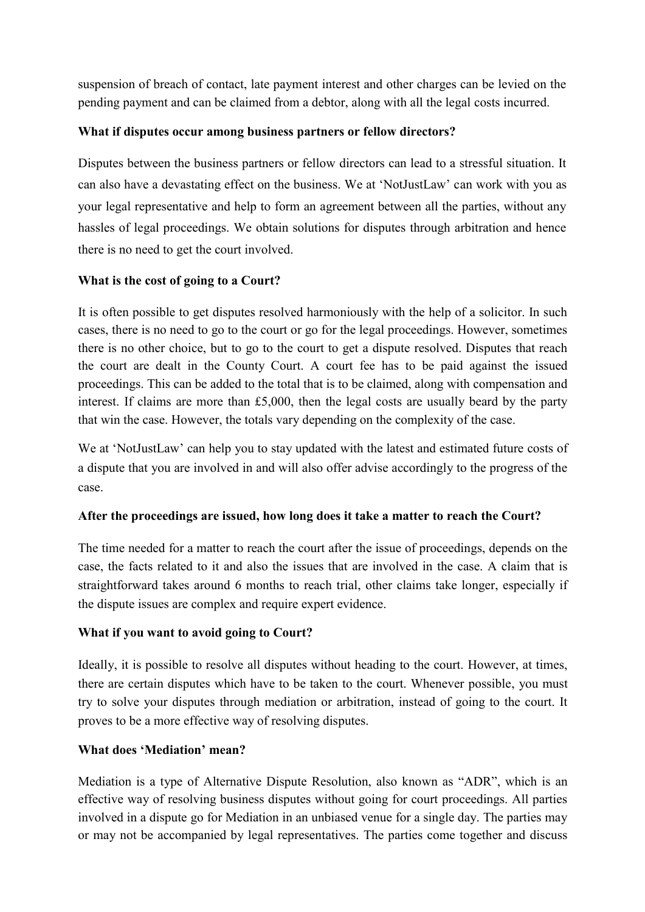suspension of breach of contact, late payment interest and other charges can be levied on the pending payment and can be claimed from a debtor, along with all the legal costs incurred.

# **What if disputes occur among business partners or fellow directors?**

Disputes between the business partners or fellow directors can lead to a stressful situation. It can also have a devastating effect on the business. We at "NotJustLaw" can work with you as your legal representative and help to form an agreement between all the parties, without any hassles of legal proceedings. We obtain solutions for disputes through arbitration and hence there is no need to get the court involved.

## **What is the cost of going to a Court?**

It is often possible to get disputes resolved harmoniously with the help of a solicitor. In such cases, there is no need to go to the court or go for the legal proceedings. However, sometimes there is no other choice, but to go to the court to get a dispute resolved. Disputes that reach the court are dealt in the County Court. A court fee has to be paid against the issued proceedings. This can be added to the total that is to be claimed, along with compensation and interest. If claims are more than £5,000, then the legal costs are usually beard by the party that win the case. However, the totals vary depending on the complexity of the case.

We at 'NotJustLaw' can help you to stay updated with the latest and estimated future costs of a dispute that you are involved in and will also offer advise accordingly to the progress of the case.

## **After the proceedings are issued, how long does it take a matter to reach the Court?**

The time needed for a matter to reach the court after the issue of proceedings, depends on the case, the facts related to it and also the issues that are involved in the case. A claim that is straightforward takes around 6 months to reach trial, other claims take longer, especially if the dispute issues are complex and require expert evidence.

## **What if you want to avoid going to Court?**

Ideally, it is possible to resolve all disputes without heading to the court. However, at times, there are certain disputes which have to be taken to the court. Whenever possible, you must try to solve your disputes through mediation or arbitration, instead of going to the court. It proves to be a more effective way of resolving disputes.

## **What does 'Mediation' mean?**

Mediation is a type of Alternative Dispute Resolution, also known as "ADR", which is an effective way of resolving business disputes without going for court proceedings. All parties involved in a dispute go for Mediation in an unbiased venue for a single day. The parties may or may not be accompanied by legal representatives. The parties come together and discuss